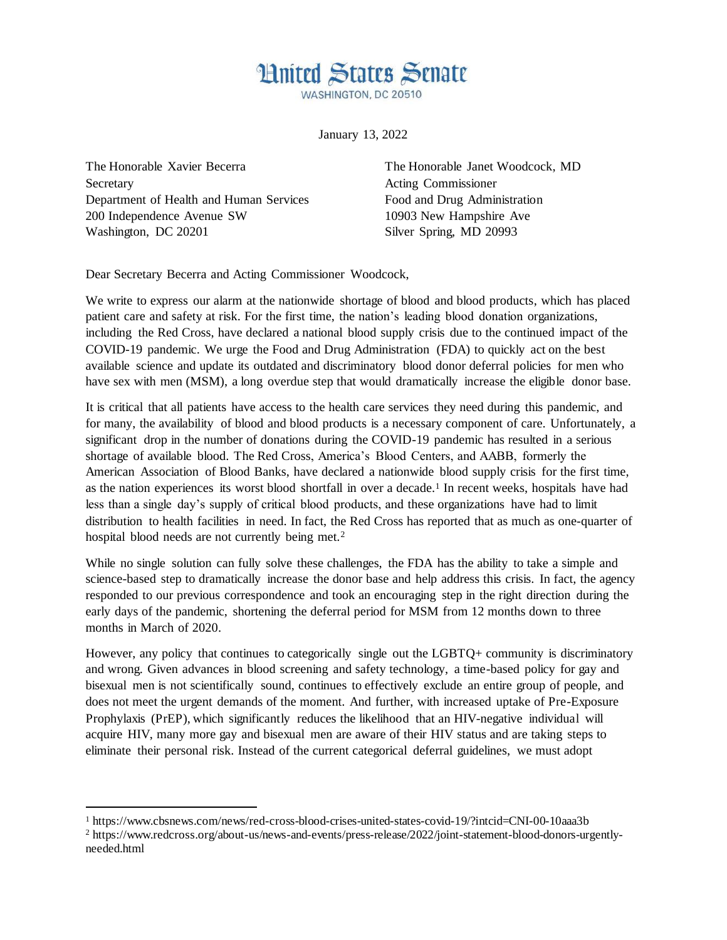## **Hnited States Senate**

WASHINGTON, DC 20510

January 13, 2022

The Honorable Xavier Becerra The Honorable Janet Woodcock, MD Secretary Acting Commissioner Department of Health and Human Services Food and Drug Administration 200 Independence Avenue SW 10903 New Hampshire Ave Washington, DC 20201 Silver Spring, MD 20993

 $\overline{a}$ 

Dear Secretary Becerra and Acting Commissioner Woodcock,

We write to express our alarm at the nationwide shortage of blood and blood products, which has placed patient care and safety at risk. For the first time, the nation's leading blood donation organizations, including the Red Cross, have declared a national blood supply crisis due to the continued impact of the COVID-19 pandemic. We urge the Food and Drug Administration (FDA) to quickly act on the best available science and update its outdated and discriminatory blood donor deferral policies for men who have sex with men (MSM), a long overdue step that would dramatically increase the eligible donor base.

It is critical that all patients have access to the health care services they need during this pandemic, and for many, the availability of blood and blood products is a necessary component of care. Unfortunately, a significant drop in the number of donations during the COVID-19 pandemic has resulted in a serious shortage of available blood. The Red Cross, America's Blood Centers, and AABB, formerly the American Association of Blood Banks, have declared a nationwide blood supply crisis for the first time, as the nation experiences its worst blood shortfall in over a decade.<sup>1</sup> In recent weeks, hospitals have had less than a single day's supply of critical blood products, and these organizations have had to limit distribution to health facilities in need. In fact, the Red Cross has reported that as much as one-quarter of hospital blood needs are not currently being met.<sup>2</sup>

While no single solution can fully solve these challenges, the FDA has the ability to take a simple and science-based step to dramatically increase the donor base and help address this crisis. In fact, the agency responded to our previous correspondence and took an encouraging step in the right direction during the early days of the pandemic, shortening the deferral period for MSM from 12 months down to three months in March of 2020.

However, any policy that continues to categorically single out the LGBTQ+ community is discriminatory and wrong. Given advances in blood screening and safety technology, a time-based policy for gay and bisexual men is not scientifically sound, continues to effectively exclude an entire group of people, and does not meet the urgent demands of the moment. And further, with increased uptake of Pre-Exposure Prophylaxis (PrEP), which significantly reduces the likelihood that an HIV-negative individual will acquire HIV, many more gay and bisexual men are aware of their HIV status and are taking steps to eliminate their personal risk. Instead of the current categorical deferral guidelines, we must adopt

<sup>1</sup> https://www.cbsnews.com/news/red-cross-blood-crises-united-states-covid-19/?intcid=CNI-00-10aaa3b

<sup>2</sup> https://www.redcross.org/about-us/news-and-events/press-release/2022/joint-statement-blood-donors-urgentlyneeded.html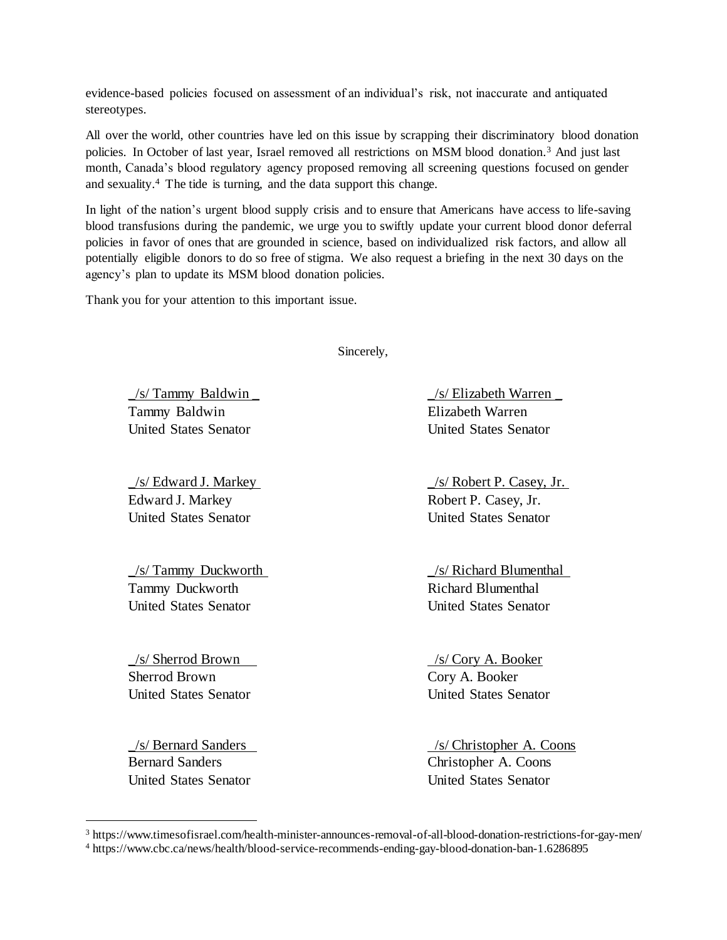evidence-based policies focused on assessment of an individual's risk, not inaccurate and antiquated stereotypes.

All over the world, other countries have led on this issue by scrapping their discriminatory blood donation policies. In October of last year, Israel removed all restrictions on MSM blood donation.<sup>3</sup> And just last month, Canada's blood regulatory agency proposed removing all screening questions focused on gender and sexuality. <sup>4</sup> The tide is turning, and the data support this change.

In light of the nation's urgent blood supply crisis and to ensure that Americans have access to life-saving blood transfusions during the pandemic, we urge you to swiftly update your current blood donor deferral policies in favor of ones that are grounded in science, based on individualized risk factors, and allow all potentially eligible donors to do so free of stigma. We also request a briefing in the next 30 days on the agency's plan to update its MSM blood donation policies.

Thank you for your attention to this important issue.

Sincerely,

Tammy Baldwin Elizabeth Warren United States Senator United States Senator

Edward J. Markey Robert P. Casey, Jr. United States Senator United States Senator

Tammy Duckworth Richard Blumenthal United States Senator United States Senator

\_/s/ Sherrod Brown /s/ Cory A. Booker Sherrod Brown Cory A. Booker

Bernard Sanders Christopher A. Coons United States Senator United States Senator

 $\overline{a}$ 

\_/s/ Tammy Baldwin \_ \_/s/ Elizabeth Warren \_

\_/s/ Edward J. Markey \_/s/ Robert P. Casey, Jr.

\_/s/ Tammy Duckworth \_/s/ Richard Blumenthal

United States Senator United States Senator

\_/s/ Bernard Sanders /s/ Christopher A. Coons

<sup>3</sup> https://www.timesofisrael.com/health-minister-announces-removal-of-all-blood-donation-restrictions-for-gay-men/

<sup>4</sup> https://www.cbc.ca/news/health/blood-service-recommends-ending-gay-blood-donation-ban-1.6286895